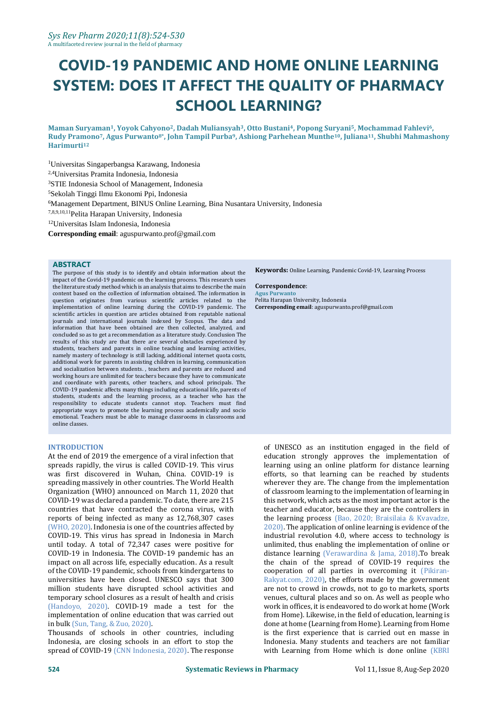# **COVID-19 PANDEMIC AND HOME ONLINE LEARNING SYSTEM: DOES IT AFFECT THE QUALITY OF PHARMACY SCHOOL LEARNING?**

**Maman Suryaman1, Yoyok Cahyono2, Dadah Muliansyah3, Otto Bustani4, Popong Suryani5, Mochammad Fahlevi6, Rudy Pramono7, Agus Purwanto8\* , John Tampil Purba9, Ashiong Parhehean Munthe10, Juliana11, Shubhi Mahmashony Harimurti<sup>12</sup>**

Universitas Singaperbangsa Karawang, Indonesia 2,4Universitas Pramita Indonesia, Indonesia STIE Indonesia School of Management, Indonesia Sekolah Tinggi Ilmu Ekonomi Ppi, Indonesia Management Department, BINUS Online Learning, Bina Nusantara University, Indonesia 7,8,9,10,11Pelita Harapan University, Indonesia Universitas Islam Indonesia, Indonesia

**Corresponding email**: aguspurwanto.prof@gmail.com

#### **ABSTRACT**

The purpose of this study is to identify and obtain information about the impact of the Covid-19 pandemic on the learning process. This research uses the literature study method which is an analysis that aims to describe the main content based on the collection of information obtained. The information in question originates from various scientific articles related to the implementation of online learning during the COVID-19 pandemic. The scientific articles in question are articles obtained from reputable national journals and international journals indexed by Scopus. The data and information that have been obtained are then collected, analyzed, and concluded so as to get a recommendation as a literature study. Conclusion The results of this study are that there are several obstacles experienced by students, teachers and parents in online teaching and learning activities, namely mastery of technology is still lacking, additional internet quota costs, additional work for parents in assisting children in learning, communication and socialization between students. , teachers and parents are reduced and working hours are unlimited for teachers because they have to communicate and coordinate with parents, other teachers, and school principals. The COVID-19 pandemic affects many things including educational life, parents of students, students and the learning process, as a teacher who has the responsibility to educate students cannot stop. Teachers must find appropriate ways to promote the learning process academically and socio emotional. Teachers must be able to manage classrooms in classrooms and online classes.

#### **INTRODUCTION**

At the end of 2019 the emergence of a viral infection that spreads rapidly, the virus is called COVID-19. This virus was first discovered in Wuhan, China. COVID-19 is spreading massively in other countries. The World Health Organization (WHO) announced on March 11, 2020 that COVID-19 was declared a pandemic. To date, there are 215 countries that have contracted the corona virus, with reports of being infected as many as 12,768,307 cases (WHO, 2020). Indonesia is one of the countries affected by COVID-19. This virus has spread in Indonesia in March until today. A total of 72,347 cases were positive for COVID-19 in Indonesia. The COVID-19 pandemic has an impact on all across life, especially education. As a result of the COVID-19 pandemic, schools from kindergartens to universities have been closed. UNESCO says that 300 million students have disrupted school activities and temporary school closures as a result of health and crisis (Handoyo, 2020). COVID-19 made a test for the implementation of online education that was carried out in bulk (Sun, Tang, & Zuo, 2020).

Thousands of schools in other countries, including Indonesia, are closing schools in an effort to stop the spread of COVID-19 (CNN Indonesia, 2020). The response **Keywords:** Online Learning, Pandemic Covid-19, Learning Process

#### **Correspondence**:

**Agus Purwanto** Pelita Harapan University, Indonesia

**Corresponding email**: aguspurwanto.prof@gmail.com

of UNESCO as an institution engaged in the field of education strongly approves the implementation of learning using an online platform for distance learning efforts, so that learning can be reached by students wherever they are. The change from the implementation of classroom learning to the implementation of learning in this network, which acts as the most important actor is the teacher and educator, because they are the controllers in the learning process (Bao, 2020; Braisilaia & Kvavadze, 2020). The application of online learning is evidence of the industrial revolution 4.0, where access to technology is unlimited, thus enabling the implementation of online or distance learning (Verawardina & Jama, 2018).To break the chain of the spread of COVID-19 requires the cooperation of all parties in overcoming it (Pikiran-Rakyat.com, 2020), the efforts made by the government are not to crowd in crowds, not to go to markets, sports venues, cultural places and so on. As well as people who work in offices, it is endeavored to do work at home (Work from Home). Likewise, in the field of education, learning is done at home (Learning from Home). Learning from Home is the first experience that is carried out en masse in Indonesia. Many students and teachers are not familiar with Learning from Home which is done online (KBRI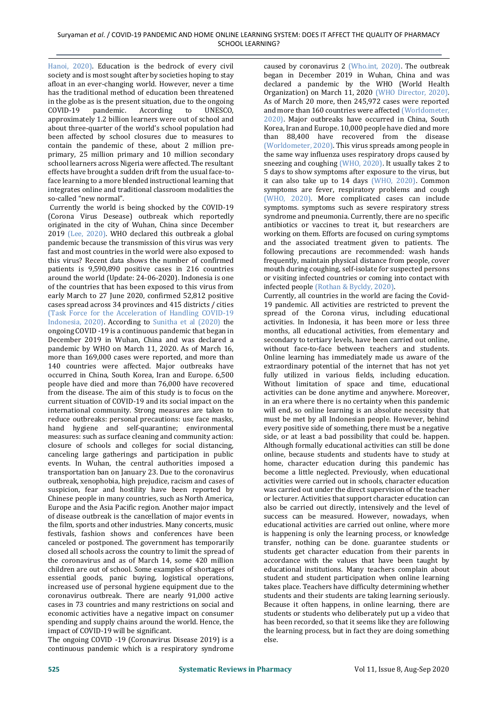Hanoi, 2020). Education is the bedrock of every civil society and is most sought after by societies hoping to stay afloat in an ever-changing world. However, never a time has the traditional method of education been threatened in the globe as is the present situation, due to the ongoing COVID-19 pandemic. According to UNESCO, approximately 1.2 billion learners were out of school and about three-quarter of the world's school population had been affected by school closures due to measures to contain the pandemic of these, about 2 million preprimary, 25 million primary and 10 million secondary school learners across Nigeria were affected. The resultant effects have brought a sudden drift from the usual face-toface learning to a more blended instructional learning that integrates online and traditional classroom modalities the so-called "new normal".

Currently the world is being shocked by the COVID-19 (Corona Virus Desease) outbreak which reportedly originated in the city of Wuhan, China since December 2019 (Lee, 2020). WHO declared this outbreak a global pandemic because the transmission of this virus was very fast and most countries in the world were also exposed to this virus? Recent data shows the number of confirmed patients is 9,590,890 positive cases in 216 countries around the world (Update: 24-06-2020). Indonesia is one of the countries that has been exposed to this virus from early March to 27 June 2020, confirmed 52,812 positive cases spread across 34 provinces and 415 districts / cities (Task Force for the Acceleration of Handling COVID-19 Indonesia, 2020). According to Sunitha et al (2020) the ongoing COVID -19 is a continuous pandemic that began in December 2019 in Wuhan, China and was declared a pandemic by WHO on March 11, 2020. As of March 16, more than 169,000 cases were reported, and more than 140 countries were affected. Major outbreaks have occurred in China, South Korea, Iran and Europe. 6,500 people have died and more than 76,000 have recovered from the disease. The aim of this study is to focus on the current situation of COVID-19 and its social impact on the international community. Strong measures are taken to reduce outbreaks: personal precautions: use face masks, hand hygiene and self-quarantine; environmental measures: such as surface cleaning and community action: closure of schools and colleges for social distancing, canceling large gatherings and participation in public events. In Wuhan, the central authorities imposed a transportation ban on January 23. Due to the coronavirus outbreak, xenophobia, high prejudice, racism and cases of suspicion, fear and hostility have been reported by Chinese people in many countries, such as North America, Europe and the Asia Pacific region. Another major impact of disease outbreak is the cancellation of major events in the film, sports and other industries. Many concerts, music festivals, fashion shows and conferences have been canceled or postponed. The government has temporarily closed all schools across the country to limit the spread of the coronavirus and as of March 14, some 420 million children are out of school. Some examples of shortages of essential goods, panic buying, logistical operations, increased use of personal hygiene equipment due to the coronavirus outbreak. There are nearly 91,000 active cases in 73 countries and many restrictions on social and economic activities have a negative impact on consumer spending and supply chains around the world. Hence, the impact of COVID-19 will be significant.

The ongoing COVID -19 (Coronavirus Disease 2019) is a continuous pandemic which is a respiratory syndrome caused by coronavirus 2 (Who.int, 2020). The outbreak began in December 2019 in Wuhan, China and was declared a pandemic by the WHO (World Health Organization) on March 11, 2020 (WHO Director, 2020). As of March 20 more, then 245,972 cases were reported and more than 160 countries were affected (Worldometer, 2020). Major outbreaks have occurred in China, South Korea, Iran and Europe. 10,000 people have died and more than 88,400 have recovered from the disease (Worldometer, 2020). This virus spreads among people in the same way influenza uses respiratory drops caused by sneezing and coughing (WHO, 2020). It usually takes 2 to 5 days to show symptoms after exposure to the virus, but it can also take up to 14 days (WHO, 2020). Common symptoms are fever, respiratory problems and cough (WHO, 2020). More complicated cases can include symptoms. symptoms such as severe respiratory stress syndrome and pneumonia. Currently, there are no specific antibiotics or vaccines to treat it, but researchers are working on them. Efforts are focused on curing symptoms and the associated treatment given to patients. The following precautions are recommended: wash hands frequently, maintain physical distance from people, cover mouth during coughing, self-isolate for suspected persons or visiting infected countries or coming into contact with infected people (Rothan & Bycldy, 2020).

Currently, all countries in the world are facing the Covid-19 pandemic. All activities are restricted to prevent the spread of the Corona virus, including educational activities. In Indonesia, it has been more or less three months, all educational activities, from elementary and secondary to tertiary levels, have been carried out online, without face-to-face between teachers and students. Online learning has immediately made us aware of the extraordinary potential of the internet that has not yet fully utilized in various fields, including education. Without limitation of space and time, educational activities can be done anytime and anywhere. Moreover, in an era where there is no certainty when this pandemic will end, so online learning is an absolute necessity that must be met by all Indonesian people. However, behind every positive side of something, there must be a negative side, or at least a bad possibility that could be. happen. Although formally educational activities can still be done online, because students and students have to study at home, character education during this pandemic has become a little neglected. Previously, when educational activities were carried out in schools, character education was carried out under the direct supervision of the teacher or lecturer. Activities that support character education can also be carried out directly, intensively and the level of success can be measured. However, nowadays, when educational activities are carried out online, where more is happening is only the learning process, or knowledge transfer, nothing can be done. guarantee students or students get character education from their parents in accordance with the values that have been taught by educational institutions. Many teachers complain about student and student participation when online learning takes place. Teachers have difficulty determining whether students and their students are taking learning seriously. Because it often happens, in online learning, there are students or students who deliberately put up a video that has been recorded, so that it seems like they are following the learning process, but in fact they are doing something else.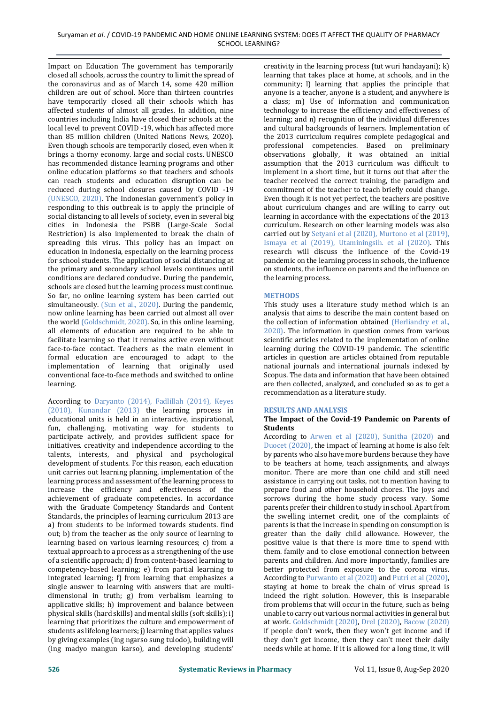Impact on Education The government has temporarily closed all schools, across the country to limit the spread of the coronavirus and as of March 14, some 420 million children are out of school. More than thirteen countries have temporarily closed all their schools which has affected students of almost all grades. In addition, nine countries including India have closed their schools at the local level to prevent COVID -19, which has affected more than 85 million children (United Nations News, 2020). Even though schools are temporarily closed, even when it brings a thorny economy. large and social costs. UNESCO has recommended distance learning programs and other online education platforms so that teachers and schools can reach students and education disruption can be reduced during school closures caused by COVID -19 (UNESCO, 2020). The Indonesian government's policy in responding to this outbreak is to apply the principle of social distancing to all levels of society, even in several big cities in Indonesia the PSBB (Large-Scale Social Restriction) is also implemented to break the chain of spreading this virus. This policy has an impact on education in Indonesia, especially on the learning process for school students. The application of social distancing at the primary and secondary school levels continues until conditions are declared conducive. During the pandemic, schools are closed but the learning process must continue. So far, no online learning system has been carried out simultaneously. (Sun et al., 2020). During the pandemic, now online learning has been carried out almost all over the world (Goldschmidt, 2020). So, in this online learning, all elements of education are required to be able to facilitate learning so that it remains active even without face-to-face contact. Teachers as the main element in formal education are encouraged to adapt to the implementation of learning that originally used conventional face-to-face methods and switched to online learning.

According to Daryanto (2014), Fadlillah (2014), Keyes (2010), Kunandar (2013) the learning process in educational units is held in an interactive, inspirational, fun, challenging, motivating way for students to participate actively, and provides sufficient space for initiatives. creativity and independence according to the talents, interests, and physical and psychological development of students. For this reason, each education unit carries out learning planning, implementation of the learning process and assessment of the learning process to increase the efficiency and effectiveness of the achievement of graduate competencies. In accordance with the Graduate Competency Standards and Content Standards, the principles of learning curriculum 2013 are a) from students to be informed towards students. find out; b) from the teacher as the only source of learning to learning based on various learning resources; c) from a textual approach to a process as a strengthening of the use of a scientific approach; d) from content-based learning to competency-based learning; e) from partial learning to integrated learning; f) from learning that emphasizes a single answer to learning with answers that are multidimensional in truth; g) from verbalism learning to applicative skills; h) improvement and balance between physical skills (hard skills) and mental skills (soft skills); i) learning that prioritizes the culture and empowerment of students as lifelong learners; j) learning that applies values by giving examples (ing ngarso sung tulodo), building will (ing madyo mangun karso), and developing students'

creativity in the learning process (tut wuri handayani); k) learning that takes place at home, at schools, and in the community; l) learning that applies the principle that anyone is a teacher, anyone is a student, and anywhere is a class; m) Use of information and communication technology to increase the efficiency and effectiveness of learning; and n) recognition of the individual differences and cultural backgrounds of learners. Implementation of the 2013 curriculum requires complete pedagogical and professional competencies. Based on preliminary observations globally, it was obtained an initial assumption that the 2013 curriculum was difficult to implement in a short time, but it turns out that after the teacher received the correct training, the paradigm and commitment of the teacher to teach briefly could change. Even though it is not yet perfect, the teachers are positive about curriculum changes and are willing to carry out learning in accordance with the expectations of the 2013 curriculum. Research on other learning models was also carried out by Setyani et al (2020), Murtono et al (2019), Ismaya et al (2019), Utaminingsih. et al (2020). This research will discuss the influence of the Covid-19 pandemic on the learning process in schools, the influence on students, the influence on parents and the influence on the learning process.

## **METHODS**

This study uses a literature study method which is an analysis that aims to describe the main content based on the collection of information obtained (Herliandry et al., 2020). The information in question comes from various scientific articles related to the implementation of online learning during the COVID-19 pandemic. The scientific articles in question are articles obtained from reputable national journals and international journals indexed by Scopus. The data and information that have been obtained are then collected, analyzed, and concluded so as to get a recommendation as a literature study.

### **RESULTS AND ANALYSIS**

### **The Impact of the Covid-19 Pandemic on Parents of Students**

According to Arwen et al (2020), Sunitha (2020) and Duocet (2020), the impact of learning at home is also felt by parents who also have more burdens because they have to be teachers at home, teach assignments, and always monitor. There are more than one child and still need assistance in carrying out tasks, not to mention having to prepare food and other household chores. The joys and sorrows during the home study process vary. Some parents prefer their children to study in school. Apart from the swelling internet credit, one of the complaints of parents is that the increase in spending on consumption is greater than the daily child allowance. However, the positive value is that there is more time to spend with them. family and to close emotional connection between parents and children. And more importantly, families are better protected from exposure to the corona virus. According to Purwanto et al (2020) and Putri et al (2020), staying at home to break the chain of virus spread is indeed the right solution. However, this is inseparable from problems that will occur in the future, such as being unable to carry out various normal activities in general but at work. Goldschmidt (2020), Drel (2020), Bacow (2020) if people don't work, then they won't get income and if they don't get income, then they can't meet their daily needs while at home. If it is allowed for a long time, it will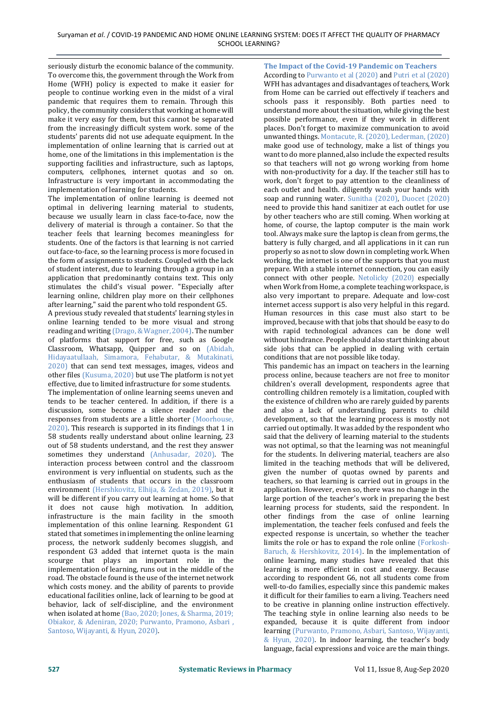seriously disturb the economic balance of the community. To overcome this, the government through the Work from Home (WFH) policy is expected to make it easier for people to continue working even in the midst of a viral pandemic that requires them to remain. Through this policy, the community considers that working at home will make it very easy for them, but this cannot be separated from the increasingly difficult system work. some of the students' parents did not use adequate equipment. In the implementation of online learning that is carried out at home, one of the limitations in this implementation is the supporting facilities and infrastructure, such as laptops, computers, cellphones, internet quotas and so on. Infrastructure is very important in accommodating the implementation of learning for students.

The implementation of online learning is deemed not optimal in delivering learning material to students, because we usually learn in class face-to-face, now the delivery of material is through a container. So that the teacher feels that learning becomes meaningless for students. One of the factors is that learning is not carried out face-to-face, so the learning process is more focused in the form of assignments to students. Coupled with the lack of student interest, due to learning through a group in an application that predominantly contains text. This only stimulates the child's visual power. "Especially after learning online, children play more on their cellphones after learning," said the parent who told respondent G5.

A previous study revealed that students' learning styles in online learning tended to be more visual and strong reading and writing (Drago, & Wagner, 2004). The number of platforms that support for free, such as Google Classroom, Whatsapp, Quipper and so on (Abidah, Hidayaatullaah, Simamora, Fehabutar, & Mutakinati, 2020) that can send text messages, images, videos and other files (Kusuma, 2020) but use The platform is not yet effective, due to limited infrastructure for some students. The implementation of online learning seems uneven and tends to be teacher centered. In addition, if there is a discussion, some become a silence reader and the responses from students are a little shorter (Moorhouse, 2020). This research is supported in its findings that 1 in 58 students really understand about online learning, 23 out of 58 students understand, and the rest they answer sometimes they understand (Anhusadar, 2020). The interaction process between control and the classroom environment is very influential on students, such as the enthusiasm of students that occurs in the classroom environment (Hershkovitz, Elhija, & Zedan, 2019), but it will be different if you carry out learning at home. So that it does not cause high motivation. In addition, infrastructure is the main facility in the smooth implementation of this online learning. Respondent G1 stated that sometimes in implementing the online learning process, the network suddenly becomes sluggish, and respondent G3 added that internet quota is the main scourge that plays an important role in the implementation of learning, runs out in the middle of the road. The obstacle found is the use of the internet network which costs money. and the ability of parents to provide educational facilities online, lack of learning to be good at behavior, lack of self-discipline, and the environment when isolated at home (Bao, 2020; Jones, & Sharma, 2019; Obiakor, & Adeniran, 2020; Purwanto, Pramono, Asbari , Santoso, Wijayanti, & Hyun, 2020).

**The Impact of the Covid-19 Pandemic on Teachers** According to Purwanto et al (2020) and Putri et al (2020) WFH has advantages and disadvantages of teachers, Work from Home can be carried out effectively if teachers and schools pass it responsibly. Both parties need to understand more about the situation, while giving the best possible performance, even if they work in different places. Don't forget to maximize communication to avoid unwanted things. Montacute, R. (2020), Lederman, (2020) make good use of technology, make a list of things you want to do more planned, also include the expected results so that teachers will not go wrong working from home with non-productivity for a day. If the teacher still has to work, don't forget to pay attention to the cleanliness of each outlet and health. diligently wash your hands with soap and running water. Sunitha (2020), Duocet (2020) need to provide this hand sanitizer at each outlet for use by other teachers who are still coming. When working at home, of course, the laptop computer is the main work tool. Always make sure the laptop is clean from germs, the battery is fully charged, and all applications in it can run properly so as not to slow down in completing work. When working, the internet is one of the supports that you must prepare. With a stable internet connection, you can easily connect with other people. Netolicky (2020) especially when Work from Home, a complete teaching workspace, is also very important to prepare. Adequate and low-cost internet access support is also very helpful in this regard. Human resources in this case must also start to be improved, because with that jobs that should be easy to do with rapid technological advances can be done well without hindrance. People should also start thinking about side jobs that can be applied in dealing with certain conditions that are not possible like today.

This pandemic has an impact on teachers in the learning process online, because teachers are not free to monitor children's overall development, respondents agree that controlling children remotely is a limitation, coupled with the existence of children who are rarely guided by parents and also a lack of understanding. parents to child development, so that the learning process is mostly not carried out optimally. It was added by the respondent who said that the delivery of learning material to the students was not optimal, so that the learning was not meaningful for the students. In delivering material, teachers are also limited in the teaching methods that will be delivered, given the number of quotas owned by parents and teachers, so that learning is carried out in groups in the application. However, even so, there was no change in the large portion of the teacher's work in preparing the best learning process for students, said the respondent. In other findings from the case of online learning implementation, the teacher feels confused and feels the expected response is uncertain, so whether the teacher limits the role or has to expand the role online (Forkosh-Baruch, & Hershkovitz, 2014). In the implementation of online learning, many studies have revealed that this learning is more efficient in cost and energy. Because according to respondent G6, not all students come from well-to-do families, especially since this pandemic makes it difficult for their families to earn a living. Teachers need to be creative in planning online instruction effectively. The teaching style in online learning also needs to be expanded, because it is quite different from indoor learning (Purwanto, Pramono, Asbari, Santoso, Wijayanti, & Hyun, 2020). In indoor learning, the teacher's body language, facial expressions and voice are the main things.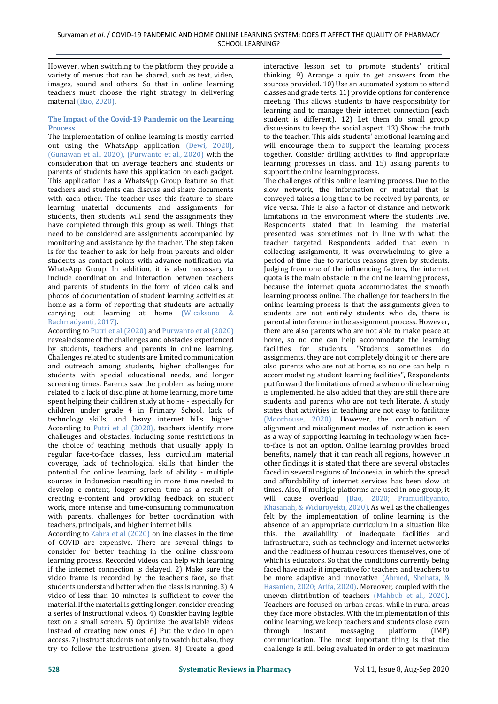However, when switching to the platform, they provide a variety of menus that can be shared, such as text, video, images, sound and others. So that in online learning teachers must choose the right strategy in delivering material (Bao, 2020).

### **The Impact of the Covid-19 Pandemic on the Learning Process**

The implementation of online learning is mostly carried out using the WhatsApp application (Dewi, 2020), (Gunawan et al., 2020), (Purwanto et al., 2020) with the consideration that on average teachers and students or parents of students have this application on each gadget. This application has a WhatsApp Group feature so that teachers and students can discuss and share documents with each other. The teacher uses this feature to share learning material documents and assignments for students, then students will send the assignments they have completed through this group as well. Things that need to be considered are assignments accompanied by monitoring and assistance by the teacher. The step taken is for the teacher to ask for help from parents and older students as contact points with advance notification via WhatsApp Group. In addition, it is also necessary to include coordination and interaction between teachers and parents of students in the form of video calls and photos of documentation of student learning activities at home as a form of reporting that students are actually carrying out learning at home (Wicaksono & Rachmadyanti, 2017).

According to Putri et al (2020) and Purwanto et al (2020) revealed some of the challenges and obstacles experienced by students, teachers and parents in online learning. Challenges related to students are limited communication and outreach among students, higher challenges for students with special educational needs, and longer screening times. Parents saw the problem as being more related to a lack of discipline at home learning, more time spent helping their children study at home - especially for children under grade 4 in Primary School, lack of technology skills, and heavy internet bills. higher. According to Putri et al (2020), teachers identify more challenges and obstacles, including some restrictions in the choice of teaching methods that usually apply in regular face-to-face classes, less curriculum material coverage, lack of technological skills that hinder the potential for online learning, lack of ability - multiple sources in Indonesian resulting in more time needed to develop e-content, longer screen time as a result of creating e-content and providing feedback on student work, more intense and time-consuming communication with parents, challenges for better coordination with teachers, principals, and higher internet bills.

According to Zahra et al (2020) online classes in the time of COVID are expensive. There are several things to consider for better teaching in the online classroom learning process. Recorded videos can help with learning if the internet connection is delayed. 2) Make sure the video frame is recorded by the teacher's face, so that students understand better when the class is running. 3) A video of less than 10 minutes is sufficient to cover the material. If the material is getting longer, consider creating a series of instructional videos. 4) Consider having legible text on a small screen. 5) Optimize the available videos instead of creating new ones. 6) Put the video in open access. 7) instruct students not only to watch but also, they try to follow the instructions given. 8) Create a good

interactive lesson set to promote students' critical thinking. 9) Arrange a quiz to get answers from the sources provided. 10) Use an automated system to attend classes and grade tests. 11) provide options for conference meeting. This allows students to have responsibility for learning and to manage their internet connection (each student is different). 12) Let them do small group discussions to keep the social aspect. 13) Show the truth to the teacher. This aids students' emotional learning and will encourage them to support the learning process together. Consider drilling activities to find appropriate learning processes in class. and 15) asking parents to support the online learning process.

The challenges of this online learning process. Due to the slow network, the information or material that is conveyed takes a long time to be received by parents, or vice versa. This is also a factor of distance and network limitations in the environment where the students live. Respondents stated that in learning, the material presented was sometimes not in line with what the teacher targeted. Respondents added that even in collecting assignments, it was overwhelming to give a period of time due to various reasons given by students. Judging from one of the influencing factors, the internet quota is the main obstacle in the online learning process, because the internet quota accommodates the smooth learning process online. The challenge for teachers in the online learning process is that the assignments given to students are not entirely students who do, there is parental interference in the assignment process. However, there are also parents who are not able to make peace at home, so no one can help accommodate the learning facilities for students. "Students sometimes do assignments, they are not completely doing it or there are also parents who are not at home, so no one can help in accommodating student learning facilities", Respondents put forward the limitations of media when online learning is implemented, he also added that they are still there are students and parents who are not tech literate. A study states that activities in teaching are not easy to facilitate (Moorhouse, 2020). However, the combination of alignment and misalignment modes of instruction is seen as a way of supporting learning in technology when faceto-face is not an option. Online learning provides broad benefits, namely that it can reach all regions, however in other findings it is stated that there are several obstacles faced in several regions of Indonesia, in which the spread and affordability of internet services has been slow at times. Also, if multiple platforms are used in one group, it will cause overload (Bao, 2020; Pramudibyanto, Khasanah, & Widuroyekti, 2020). As well as the challenges felt by the implementation of online learning is the absence of an appropriate curriculum in a situation like this, the availability of inadequate facilities and infrastructure, such as technology and internet networks and the readiness of human resources themselves, one of which is educators. So that the conditions currently being faced have made it imperative for teachers and teachers to be more adaptive and innovative (Ahmed, Shehata, & Hasanien, 2020; Arifa, 2020). Moreover, coupled with the uneven distribution of teachers (Mahbub et al., 2020). Teachers are focused on urban areas, while in rural areas they face more obstacles. With the implementation of this online learning, we keep teachers and students close even through instant messaging platform (IMP) communication. The most important thing is that the challenge is still being evaluated in order to get maximum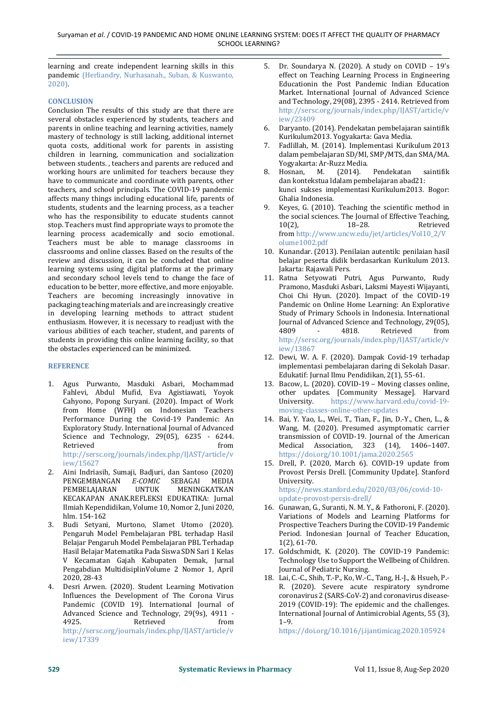learning and create independent learning skills in this pandemic (Herliandry, Nurhasanah., Suban, & Kuswanto, 2020).

# **CONCLUSION**

Conclusion The results of this study are that there are several obstacles experienced by students, teachers and parents in online teaching and learning activities, namely mastery of technology is still lacking, additional internet quota costs, additional work for parents in assisting children in learning, communication and socialization between students. , teachers and parents are reduced and working hours are unlimited for teachers because they have to communicate and coordinate with parents, other teachers, and school principals. The COVID-19 pandemic affects many things including educational life, parents of students, students and the learning process, as a teacher who has the responsibility to educate students cannot stop. Teachers must find appropriate ways to promote the learning process academically and socio emotional. Teachers must be able to manage classrooms in classrooms and online classes. Based on the results of the review and discussion, it can be concluded that online learning systems using digital platforms at the primary and secondary school levels tend to change the face of education to be better, more effective, and more enjoyable. Teachers are becoming increasingly innovative in packaging teaching materials and are increasingly creative in developing learning methods to attract student enthusiasm. However, it is necessary to readjust with the various abilities of each teacher, student, and parents of students in providing this online learning facility, so that the obstacles experienced can be minimized.

### **REFERENCE**

- 1. Agus Purwanto, Masduki Asbari, Mochammad Fahlevi, Abdul Mufid, Eva Agistiawati, Yoyok Cahyono, Popong Suryani. (2020). Impact of Work from Home (WFH) on Indonesian Teachers Performance During the Covid-19 Pandemic: An Exploratory Study. International Journal of Advanced Science and Technology, 29(05), 6235 - 6244. Retrieved from the state of  $\sim$ [http://sersc.org/journals/index.php/IJAST/article/v](http://sersc.org/journals/index.php/IJAST/article/view/15627) [iew/15627](http://sersc.org/journals/index.php/IJAST/article/view/15627)
- 2. Aini Indriasih, Sumaji, Badjuri, dan Santoso (2020) PENGEMBANGAN *E-COMIC* SEBAGAI MEDIA PEMBELAJARAN UNTUK MENINGKATKAN KECAKAPAN ANAK.REFLEKSI EDUKATIKA: Jurnal Ilmiah Kependidikan, Volume 10, Nomor 2, Juni 2020, hlm. 154-162
- 3. Budi Setyani, Murtono, Slamet Utomo (2020). Pengaruh Model Pembelajaran PBL terhadap Hasil Belajar Pengaruh Model Pembelajaran PBL Terhadap Hasil Belajar Matematika Pada Siswa SDN Sari 1 Kelas V Kecamatan Gajah Kabupaten Demak, Jurnal Pengabdian MultidisiplinVolume 2 Nomor 1, April 2020, 28-43
- 4. Desri Arwen. (2020). Student Learning Motivation Influences the Development of The Corona Virus Pandemic (COVID 19). International Journal of Advanced Science and Technology, 29(9s), 4911 - 4925. Retrieved from [http://sersc.org/journals/index.php/IJAST/article/v](http://sersc.org/journals/index.php/IJAST/article/view/17339) [iew/17339](http://sersc.org/journals/index.php/IJAST/article/view/17339)
- 5. Dr. Soundarya N. (2020). A study on COVID 19's effect on Teaching Learning Process in Engineering Educationin the Post Pandemic Indian Education Market. International Journal of Advanced Science and Technology, 29(08), 2395 - 2414. Retrieved from [http://sersc.org/journals/index.php/IJAST/article/v](http://sersc.org/journals/index.php/IJAST/article/view/23409) [iew/23409](http://sersc.org/journals/index.php/IJAST/article/view/23409)
- 6. Daryanto. (2014). Pendekatan pembelajaran saintifik Kurikulum2013. Yogyakarta: Gava Media.
- 7. Fadlillah, M. (2014). Implementasi Kurikulum 2013 dalam pembelajaran SD/MI, SMP/MTS, dan SMA/MA. Yogyakarta: Ar-Ruzz Media.
- 8. Hosnan, M. (2014). Pendekatan saintifik dan kontekstua ldalam pembelajaran abad21: kunci sukses implementasi Kurikulum2013. Bogor: Ghalia Indonesia.
- 9. Keyes, G. (2010). Teaching the scientific method in the social sciences. The Journal of Effective Teaching,<br>10(2), 18-28. Retrieved 10(2), 18–28. Retrieved from [http://www.uncw.edu/jet/articles/Vol10\\_2/V](http://www.uncw.edu/jet/articles/Vol10_2/Volume1002.pdf) [olume1002.pdf](http://www.uncw.edu/jet/articles/Vol10_2/Volume1002.pdf)
- 10. Kunandar. (2013). Penilaian autentik: penilaian hasil belajar peserta didik berdasarkan Kurikulum 2013. Jakarta: Rajawali Pers.
- 11. Ratna Setyowati Putri, Agus Purwanto, Rudy Pramono, Masduki Asbari, Laksmi Mayesti Wijayanti, Choi Chi Hyun. (2020). Impact of the COVID-19 Pandemic on Online Home Learning: An Explorative Study of Primary Schools in Indonesia. International Journal of Advanced Science and Technology, 29(05), 4809 - 4818. Retrieved from [http://sersc.org/journals/index.php/IJAST/article/v](http://sersc.org/journals/index.php/IJAST/article/view/13867) [iew/13867](http://sersc.org/journals/index.php/IJAST/article/view/13867)
- 12. Dewi, W. A. F. (2020). Dampak Covid-19 terhadap implementasi pembelajaran daring di Sekolah Dasar. Edukatif: Jurnal Ilmu Pendidikan, 2(1), 55-61.
- 13. Bacow, L. (2020). COVID-19 Moving classes online, other updates. [Community Message]. Harvard University. https://www.harvard.edu/covid-19 moving-classes-online-other-updates
- 14. Bai, Y. Yao, L., Wei, T., Tian, F., Jin, D.-Y., Chen, L., & Wang, M. (2020). Presumed asymptomatic carrier transmission of COVID-19. Journal of the American Medical Association, 323 (14), 1406–1407. https://doi.org/10.1001/jama.2020.2565
- 15. Drell, P. (2020, March 6). COVID-19 update from Provost Persis Drell. [Community Update]. Stanford University. https://news.stanford.edu/2020/03/06/covid-10-

update-provost-persis-drell/

- 16. Gunawan, G., Suranti, N. M. Y., & Fathoroni, F. (2020). Variations of Models and Learning Platforms for Prospective Teachers During the COVID-19 Pandemic Period. Indonesian Journal of Teacher Education, 1(2), 61-70.
- 17. Goldschmidt, K. (2020). The COVID-19 Pandemic: Technology Use to Support the Wellbeing of Children. Journal of Pediatric Nursing.
- 18. Lai, C.-C., Shih, T.-P., Ko, W.-C., Tang, H.-J., & Hsueh, P.- R. (2020). Severe acute respiratory syndrome coronavirus 2 (SARS-CoV-2) and coronavirus disease-2019 (COVID-19): The epidemic and the challenges. International Journal of Antimicrobial Agents, 55 (3), 1–9.

<https://doi.org/10.1016/j.ijantimicag.2020.105924>